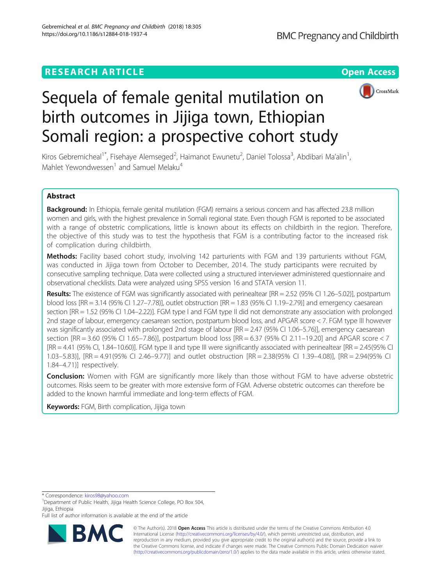## **RESEARCH ARTICLE Example 2018 12:30 THE Open Access**



# Sequela of female genital mutilation on birth outcomes in Jijiga town, Ethiopian Somali region: a prospective cohort study

Kiros Gebremicheal<sup>1\*</sup>, Fisehaye Alemseged<sup>2</sup>, Haimanot Ewunetu<sup>2</sup>, Daniel Tolossa<sup>3</sup>, Abdibari Ma'alin<sup>1</sup> , Mahlet Yewondwessen<sup>1</sup> and Samuel Melaku<sup>4</sup>

## Abstract

Background: In Ethiopia, female genital mutilation (FGM) remains a serious concern and has affected 23.8 million women and girls, with the highest prevalence in Somali regional state. Even though FGM is reported to be associated with a range of obstetric complications, little is known about its effects on childbirth in the region. Therefore, the objective of this study was to test the hypothesis that FGM is a contributing factor to the increased risk of complication during childbirth.

Methods: Facility based cohort study, involving 142 parturients with FGM and 139 parturients without FGM, was conducted in Jijiga town from October to December, 2014. The study participants were recruited by consecutive sampling technique. Data were collected using a structured interviewer administered questionnaire and observational checklists. Data were analyzed using SPSS version 16 and STATA version 11.

Results: The existence of FGM was significantly associated with perinealtear [RR = 2.52 (95% CI 1.26-5.02)], postpartum blood loss [RR = 3.14 (95% CI 1.27–7.78)], outlet obstruction [RR = 1.83 (95% CI 1.19–2.79)] and emergency caesarean section [RR = 1.52 (95% CI 1.04–2.22)]. FGM type I and FGM type II did not demonstrate any association with prolonged 2nd stage of labour, emergency caesarean section, postpartum blood loss, and APGAR score < 7. FGM type III however was significantly associated with prolonged 2nd stage of labour [RR = 2.47 (95% CI 1.06–5.76)], emergency caesarean section [RR = 3.60 (95% CI 1.65–7.86)], postpartum blood loss [RR = 6.37 (95% CI 2.11–19.20] and APGAR score < 7 [RR = 4.41 (95% CI, 1.84–10.60)]. FGM type II and type III were significantly associated with perinealtear [RR = 2.45(95% CI 1.03–5.83)], [RR = 4.91(95% CI 2.46–9.77)] and outlet obstruction [RR = 2.38(95% CI 1.39–4.08)], [RR = 2.94(95% CI 1.84–4.71)] respectively.

**Conclusion:** Women with FGM are significantly more likely than those without FGM to have adverse obstetric outcomes. Risks seem to be greater with more extensive form of FGM. Adverse obstetric outcomes can therefore be added to the known harmful immediate and long-term effects of FGM.

Keywords: FGM, Birth complication, Jijiga town

\* Correspondence: [kiros98@yahoo.com](mailto:kiros98@yahoo.com) <sup>1</sup>

Full list of author information is available at the end of the article



© The Author(s). 2018 Open Access This article is distributed under the terms of the Creative Commons Attribution 4.0 International License [\(http://creativecommons.org/licenses/by/4.0/](http://creativecommons.org/licenses/by/4.0/)), which permits unrestricted use, distribution, and reproduction in any medium, provided you give appropriate credit to the original author(s) and the source, provide a link to the Creative Commons license, and indicate if changes were made. The Creative Commons Public Domain Dedication waiver [\(http://creativecommons.org/publicdomain/zero/1.0/](http://creativecommons.org/publicdomain/zero/1.0/)) applies to the data made available in this article, unless otherwise stated.

<sup>&</sup>lt;sup>1</sup>Department of Public Health, Jijiga Health Science College, PO Box 504, Jijiga, Ethiopia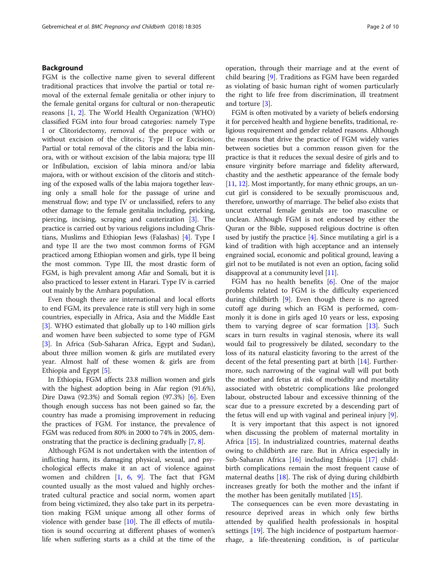#### Background

FGM is the collective name given to several different traditional practices that involve the partial or total removal of the external female genitalia or other injury to the female genital organs for cultural or non-therapeutic reasons [[1](#page-8-0), [2](#page-8-0)]. The World Health Organization (WHO) classified FGM into four broad categories: namely Type I or Clitoridectomy, removal of the prepuce with or without excision of the clitoris.; Type II or Excision:, Partial or total removal of the clitoris and the labia minora, with or without excision of the labia majora; type III or Infibulation, excision of labia minora and/or labia majora, with or without excision of the clitoris and stitching of the exposed walls of the labia majora together leaving only a small hole for the passage of urine and menstrual flow; and type IV or unclassified, refers to any other damage to the female genitalia including, pricking, piercing, incising, scraping and cauterization [\[3](#page-8-0)]. The practice is carried out by various religions including Christians, Muslims and Ethiopian Jews (Falashas) [\[4](#page-8-0)]. Type I and type II are the two most common forms of FGM practiced among Ethiopian women and girls, type II being the most common. Type III, the most drastic form of FGM, is high prevalent among Afar and Somali, but it is also practiced to lesser extent in Harari. Type IV is carried out mainly by the Amhara population.

Even though there are international and local efforts to end FGM, its prevalence rate is still very high in some countries, especially in Africa, Asia and the Middle East [[3\]](#page-8-0). WHO estimated that globally up to 140 million girls and women have been subjected to some type of FGM [[3\]](#page-8-0). In Africa (Sub-Saharan Africa, Egypt and Sudan), about three million women & girls are mutilated every year. Almost half of these women & girls are from Ethiopia and Egypt [[5](#page-8-0)].

In Ethiopia, FGM affects 23.8 million women and girls with the highest adoption being in Afar region (91.6%), Dire Dawa (92.3%) and Somali region (97.3%) [[6\]](#page-9-0). Even though enough success has not been gained so far, the country has made a promising improvement in reducing the practices of FGM. For instance, the prevalence of FGM was reduced from 80% in 2000 to 74% in 2005, demonstrating that the practice is declining gradually [[7](#page-9-0), [8](#page-9-0)].

Although FGM is not undertaken with the intention of inflicting harm, its damaging physical, sexual, and psychological effects make it an act of violence against women and children [\[1](#page-8-0), [6,](#page-9-0) [9](#page-9-0)]. The fact that FGM counted usually as the most valued and highly orchestrated cultural practice and social norm, women apart from being victimized, they also take part in its perpetration making FGM unique among all other forms of violence with gender base [[10](#page-9-0)]. The ill effects of mutilation is sound occurring at different phases of women's life when suffering starts as a child at the time of the

operation, through their marriage and at the event of child bearing [\[9](#page-9-0)]. Traditions as FGM have been regarded as violating of basic human right of women particularly the right to life free from discrimination, ill treatment and torture [\[3](#page-8-0)].

FGM is often motivated by a variety of beliefs endorsing it for perceived health and hygiene benefits, traditional, religious requirement and gender related reasons. Although the reasons that drive the practice of FGM widely varies between societies but a common reason given for the practice is that it reduces the sexual desire of girls and to ensure virginity before marriage and fidelity afterward, chastity and the aesthetic appearance of the female body [[11](#page-9-0), [12\]](#page-9-0). Most importantly, for many ethnic groups, an uncut girl is considered to be sexually promiscuous and, therefore, unworthy of marriage. The belief also exists that uncut external female genitals are too masculine or unclean. Although FGM is not endorsed by either the Quran or the Bible, supposed religious doctrine is often used by justify the practice  $[4]$  $[4]$ . Since mutilating a girl is a kind of tradition with high acceptance and an intensely engrained social, economic and political ground, leaving a girl not to be mutilated is not even an option, facing solid disapproval at a community level [\[11\]](#page-9-0).

FGM has no health benefits [[6\]](#page-9-0). One of the major problems related to FGM is the difficulty experienced during childbirth [[9\]](#page-9-0). Even though there is no agreed cutoff age during which an FGM is performed, commonly it is done in girls aged 10 years or less, exposing them to varying degree of scar formation [[13\]](#page-9-0). Such scars in turn results in vaginal stenosis, where its wall would fail to progressively be dilated, secondary to the loss of its natural elasticity favoring to the arrest of the decent of the fetal presenting part at birth [\[14\]](#page-9-0). Furthermore, such narrowing of the vaginal wall will put both the mother and fetus at risk of morbidity and mortality associated with obstetric complications like prolonged labour, obstructed labour and excessive thinning of the scar due to a pressure excreted by a descending part of the fetus will end up with vaginal and perineal injury [[9\]](#page-9-0).

It is very important that this aspect is not ignored when discussing the problem of maternal mortality in Africa [[15\]](#page-9-0). In industrialized countries, maternal deaths owing to childbirth are rare. But in Africa especially in Sub-Saharan Africa [\[16\]](#page-9-0) including Ethiopia [[17\]](#page-9-0) childbirth complications remain the most frequent cause of maternal deaths [[18](#page-9-0)]. The risk of dying during childbirth increases greatly for both the mother and the infant if the mother has been genitally mutilated [\[15](#page-9-0)].

The consequences can be even more devastating in resource deprived areas in which only few births attended by qualified health professionals in hospital settings [\[19\]](#page-9-0). The high incidence of postpartum haemorrhage, a life-threatening condition, is of particular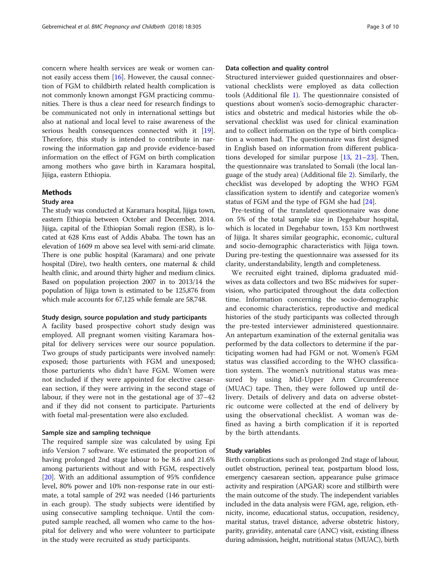concern where health services are weak or women cannot easily access them [\[16](#page-9-0)]. However, the causal connection of FGM to childbirth related health complication is not commonly known amongst FGM practicing communities. There is thus a clear need for research findings to be communicated not only in international settings but also at national and local level to raise awareness of the serious health consequences connected with it [\[19](#page-9-0)]. Therefore, this study is intended to contribute in narrowing the information gap and provide evidence-based information on the effect of FGM on birth complication among mothers who gave birth in Karamara hospital, Jijiga, eastern Ethiopia.

#### Methods

#### Study area

The study was conducted at Karamara hospital, Jijiga town, eastern Ethiopia between October and December, 2014. Jijiga, capital of the Ethiopian Somali region (ESR), is located at 628 Kms east of Addis Ababa. The town has an elevation of 1609 m above sea level with semi-arid climate. There is one public hospital (Karamara) and one private hospital (Dire), two health centers, one maternal & child health clinic, and around thirty higher and medium clinics. Based on population projection 2007 in to 2013/14 the population of Jijiga town is estimated to be 125,876 from which male accounts for 67,125 while female are 58,748.

#### Study design, source population and study participants

A facility based prospective cohort study design was employed. All pregnant women visiting Karamara hospital for delivery services were our source population. Two groups of study participants were involved namely: exposed; those parturients with FGM and unexposed; those parturients who didn't have FGM. Women were not included if they were appointed for elective caesarean section, if they were arriving in the second stage of labour, if they were not in the gestational age of 37–42 and if they did not consent to participate. Parturients with foetal mal-presentation were also excluded.

#### Sample size and sampling technique

The required sample size was calculated by using Epi info Version 7 software. We estimated the proportion of having prolonged 2nd stage labour to be 8.6 and 21.6% among parturients without and with FGM, respectively [[20\]](#page-9-0). With an additional assumption of 95% confidence level, 80% power and 10% non-response rate in our estimate, a total sample of 292 was needed (146 parturients in each group). The study subjects were identified by using consecutive sampling technique. Until the computed sample reached, all women who came to the hospital for delivery and who were volunteer to participate in the study were recruited as study participants.

#### Data collection and quality control

Structured interviewer guided questionnaires and observational checklists were employed as data collection tools (Additional file [1\)](#page-8-0). The questionnaire consisted of questions about women's socio-demographic characteristics and obstetric and medical histories while the observational checklist was used for clinical examination and to collect information on the type of birth complication a women had. The questionnaire was first designed in English based on information from different publications developed for similar purpose [\[13,](#page-9-0) [21](#page-9-0)–[23](#page-9-0)]. Then, the questionnaire was translated to Somali (the local language of the study area) (Additional file [2](#page-8-0)). Similarly, the checklist was developed by adopting the WHO FGM classification system to identify and categorize women's status of FGM and the type of FGM she had [\[24](#page-9-0)].

Pre-testing of the translated questionnaire was done on 5% of the total sample size in Degehabur hospital, which is located in Degehabur town, 153 Km northwest of Jijiga. It shares similar geographic, economic, cultural and socio-demographic characteristics with Jijiga town. During pre-testing the questionnaire was assessed for its clarity, understandability, length and completeness.

We recruited eight trained, diploma graduated midwives as data collectors and two BSc midwives for supervision, who participated throughout the data collection time. Information concerning the socio-demographic and economic characteristics, reproductive and medical histories of the study participants was collected through the pre-tested interviewer administered questionnaire. An antepartum examination of the external genitalia was performed by the data collectors to determine if the participating women had had FGM or not. Women's FGM status was classified according to the WHO classification system. The women's nutritional status was measured by using Mid-Upper Arm Circumference (MUAC) tape. Then, they were followed up until delivery. Details of delivery and data on adverse obstetric outcome were collected at the end of delivery by using the observational checklist. A woman was defined as having a birth complication if it is reported by the birth attendants.

#### Study variables

Birth complications such as prolonged 2nd stage of labour, outlet obstruction, perineal tear, postpartum blood loss, emergency caesarean section, appearance pulse grimace activity and respiration (APGAR) score and stillbirth were the main outcome of the study. The independent variables included in the data analysis were FGM, age, religion, ethnicity, income, educational status, occupation, residency, marital status, travel distance, adverse obstetric history, parity, gravidity, antenatal care (ANC) visit, existing illness during admission, height, nutritional status (MUAC), birth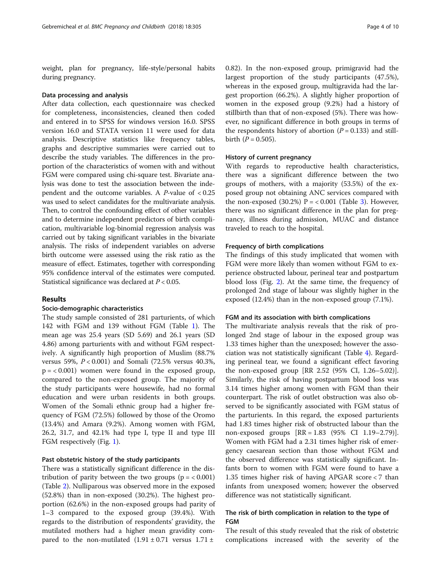weight, plan for pregnancy, life-style/personal habits during pregnancy.

#### Data processing and analysis

After data collection, each questionnaire was checked for completeness, inconsistencies, cleaned then coded and entered in to SPSS for windows version 16.0. SPSS version 16.0 and STATA version 11 were used for data analysis. Descriptive statistics like frequency tables, graphs and descriptive summaries were carried out to describe the study variables. The differences in the proportion of the characteristics of women with and without FGM were compared using chi-square test. Bivariate analysis was done to test the association between the independent and the outcome variables. A  $P$ -value of  $< 0.25$ was used to select candidates for the multivariate analysis. Then, to control the confounding effect of other variables and to determine independent predictors of birth complication, multivariable log-binomial regression analysis was carried out by taking significant variables in the bivariate analysis. The risks of independent variables on adverse birth outcome were assessed using the risk ratio as the measure of effect. Estimates, together with corresponding 95% confidence interval of the estimates were computed. Statistical significance was declared at  $P < 0.05$ .

#### Results

#### Socio-demographic characteristics

The study sample consisted of 281 parturients, of which 142 with FGM and 139 without FGM (Table [1](#page-4-0)). The mean age was 25.4 years (SD 5.69) and 26.1 years (SD 4.86) among parturients with and without FGM respectively. A significantly high proportion of Muslim (88.7% versus 59%, P < 0.001) and Somali (72.5% versus 40.3%,  $p = < 0.001$ ) women were found in the exposed group, compared to the non-exposed group. The majority of the study participants were housewife, had no formal education and were urban residents in both groups. Women of the Somali ethnic group had a higher frequency of FGM (72.5%) followed by those of the Oromo (13.4%) and Amara (9.2%). Among women with FGM, 26.2, 31.7, and 42.1% had type I, type II and type III FGM respectively (Fig. [1](#page-5-0)).

#### Past obstetric history of the study participants

There was a statistically significant difference in the distribution of parity between the two groups  $(p = < 0.001)$ (Table [2\)](#page-5-0). Nulliparous was observed more in the exposed (52.8%) than in non-exposed (30.2%). The highest proportion (62.6%) in the non-exposed groups had parity of 1–3 compared to the exposed group (39.4%). With regards to the distribution of respondents' gravidity, the mutilated mothers had a higher mean gravidity compared to the non-mutilated  $(1.91 \pm 0.71$  versus  $1.71 \pm 0.71$ 

0.82). In the non-exposed group, primigravid had the largest proportion of the study participants (47.5%), whereas in the exposed group, multigravida had the largest proportion (66.2%). A slightly higher proportion of women in the exposed group (9.2%) had a history of stillbirth than that of non-exposed (5%). There was however, no significant difference in both groups in terms of the respondents history of abortion  $(P = 0.133)$  and stillbirth  $(P = 0.505)$ .

#### History of current pregnancy

With regards to reproductive health characteristics, there was a significant difference between the two groups of mothers, with a majority (53.5%) of the exposed group not obtaining ANC services compared with the non-exposed (30.2%)  $P = < 0.001$  (Table [3\)](#page-5-0). However, there was no significant difference in the plan for pregnancy, illness during admission, MUAC and distance traveled to reach to the hospital.

#### Frequency of birth complications

The findings of this study implicated that women with FGM were more likely than women without FGM to experience obstructed labour, perineal tear and postpartum blood loss (Fig. [2](#page-6-0)). At the same time, the frequency of prolonged 2nd stage of labour was slightly higher in the exposed (12.4%) than in the non-exposed group (7.1%).

#### FGM and its association with birth complications

The multivariate analysis reveals that the risk of prolonged 2nd stage of labour in the exposed group was 1.33 times higher than the unexposed; however the association was not statistically significant (Table [4\)](#page-6-0). Regarding perineal tear, we found a significant effect favoring the non-exposed group [RR 2.52 (95% CI, 1.26–5.02)]. Similarly, the risk of having postpartum blood loss was 3.14 times higher among women with FGM than their counterpart. The risk of outlet obstruction was also observed to be significantly associated with FGM status of the parturients. In this regard, the exposed parturients had 1.83 times higher risk of obstructed labour than the non-exposed groups [RR = 1.83 (95% CI 1.19–2.79)]. Women with FGM had a 2.31 times higher risk of emergency caesarean section than those without FGM and the observed difference was statistically significant. Infants born to women with FGM were found to have a 1.35 times higher risk of having APGAR score < 7 than infants from unexposed women; however the observed difference was not statistically significant.

#### The risk of birth complication in relation to the type of FGM

The result of this study revealed that the risk of obstetric complications increased with the severity of the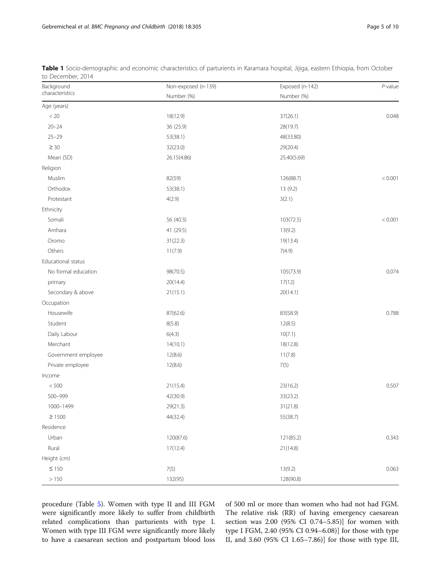| Background          | Non-exposed (n-139) | Exposed (n-142) | $P$ -value |  |
|---------------------|---------------------|-----------------|------------|--|
| characteristics     | Number (%)          | Number (%)      |            |  |
| Age (years)         |                     |                 |            |  |
| < 20                | 18(12.9)            | 37(26.1)        | 0.048      |  |
| $20 - 24$           | 36 (25.9)           | 28(19.7)        |            |  |
| $25 - 29$           | 53(38.1)            | 48(33.80)       |            |  |
| $\geq$ 30           | 32(23.0)            | 29(20.4)        |            |  |
| Mean (SD)           | 26.15(4.86)         | 25.40(5.69)     |            |  |
| Religion            |                     |                 |            |  |
| Muslim              | 82(59)              | 126(88.7)       | < 0.001    |  |
| Orthodox            | 53(38.1)            | 13 (9.2)        |            |  |
| Protestant          | 4(2.9)              | 3(2.1)          |            |  |
| Ethnicity           |                     |                 |            |  |
| Somali              | 56 (40.3)           | 103(72.5)       | < 0.001    |  |
| Amhara              | 41 (29.5)           | 13(9.2)         |            |  |
| Oromo               | 31(22.3)            | 19(13.4)        |            |  |
| Others              | 11(7.9)             | 7(4.9)          |            |  |
| Educational status  |                     |                 |            |  |
| No formal education | 98(70.5)            | 105(73.9)       | 0.074      |  |
| primary             | 20(14.4)            | 17(12)          |            |  |
| Secondary & above   | 21(15.1)            | 20(14.1)        |            |  |
| Occupation          |                     |                 |            |  |
| Housewife           | 87(62.6)            | 83(58.9)        | 0.788      |  |
| Student             | 8(5.8)              | 12(8.5)         |            |  |
| Daily Labour        | 6(4.3)              | 10(7.1)         |            |  |
| Merchant            | 14(10.1)            | 18(12.8)        |            |  |
| Government employee | 12(8.6)             | 11(7.8)         |            |  |
| Private employee    | 12(8.6)             | 7(5)            |            |  |
| Income              |                     |                 |            |  |
| $<500\,$            | 21(15.4)            | 23(16.2)        | 0.507      |  |
| 500-999             | 42(30.9)            | 33(23.2)        |            |  |
| 1000-1499           | 29(21.3)            | 31(21.8)        |            |  |
| $\geq$ 1500         | 44(32.4)            | 55(38.7)        |            |  |
| Residence           |                     |                 |            |  |
| Urban               | 120(87.6)           | 121(85.2)       | 0.343      |  |
| Rural               | 17(12.4)            | 21(14.8)        |            |  |
| Height (cm)         |                     |                 |            |  |
| $\leq$ 150          | 7(5)                | 13(9.2)         | 0.063      |  |
| $>150\,$            | 132(95)             | 128(90.8)       |            |  |

<span id="page-4-0"></span>Table 1 Socio-demographic and economic characteristics of parturients in Karamara hospital, Jijiga, eastern Ethiopia, from October to December, 2014

procedure (Table [5](#page-7-0)). Women with type II and III FGM were significantly more likely to suffer from childbirth related complications than parturients with type I. Women with type III FGM were significantly more likely to have a caesarean section and postpartum blood loss of 500 ml or more than women who had not had FGM. The relative risk (RR) of having emergency caesarean section was 2.00 (95% CI 0.74–5.85)] for women with type I FGM, 2.40 (95% CI 0.94–6.08)] for those with type II, and 3.60 (95% CI 1.65–7.86)] for those with type III,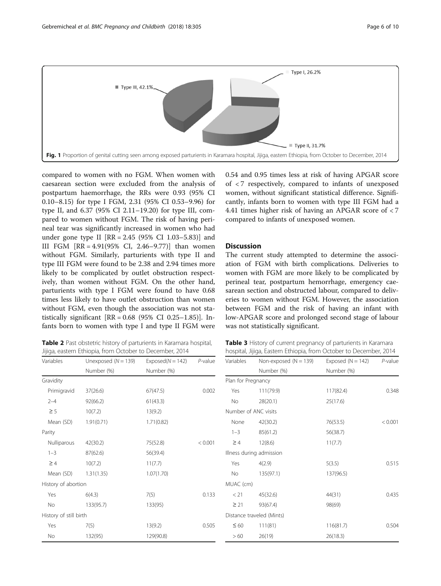<span id="page-5-0"></span>

compared to women with no FGM. When women with caesarean section were excluded from the analysis of postpartum haemorrhage, the RRs were 0.93 (95% CI 0.10–8.15) for type I FGM, 2.31 (95% CI 0.53–9.96) for type II, and 6.37 (95% CI 2.11–19.20) for type III, compared to women without FGM. The risk of having perineal tear was significantly increased in women who had under gone type II  $[RR = 2.45 (95\% CI 1.03 - 5.83)]$  and III FGM [RR = 4.91(95% CI, 2.46–9.77)] than women without FGM. Similarly, parturients with type II and type III FGM were found to be 2.38 and 2.94 times more likely to be complicated by outlet obstruction respectively, than women without FGM. On the other hand, parturients with type I FGM were found to have 0.68 times less likely to have outlet obstruction than women without FGM, even though the association was not statistically significant  $[RR = 0.68 (95\% \text{ CI } 0.25-1.85)].$  Infants born to women with type I and type II FGM were

| <b>Table 2</b> Past obstetric history of parturients in Karamara hospital, |  |
|----------------------------------------------------------------------------|--|
| Jijiga, eastern Ethiopia, from October to December, 2014                   |  |

| Variables              | Unexposed $(N = 139)$ | $Exposed(N = 142)$ | $P$ -value |
|------------------------|-----------------------|--------------------|------------|
| Number (%)             |                       | Number (%)         |            |
| Gravidity              |                       |                    |            |
| Primigravid            | 37(26.6)              | 67(47.5)           | 0.002      |
| $2 - 4$                | 92(66.2)              | 61(43.3)           |            |
| $\geq$ 5               | 10(7.2)               | 13(9.2)            |            |
| Mean (SD)              | 1.91(0.71)            | 1.71(0.82)         |            |
| Parity                 |                       |                    |            |
| Nulliparous            | 42(30.2)              | 75(52.8)           | < 0.001    |
| $1 - 3$                | 87(62.6)              | 56(39.4)           |            |
| $\geq$ 4               | 10(7.2)               | 11(7.7)            |            |
| Mean (SD)              | 1.31(1.35)            | 1.07(1.70)         |            |
| History of abortion    |                       |                    |            |
| Yes                    | 6(4.3)                | 7(5)               | 0.133      |
| No                     | 133(95.7)             | 133(95)            |            |
| History of still birth |                       |                    |            |
| Yes                    | 7(5)                  | 13(9.2)            | 0.505      |
| No                     | 132(95)               | 129(90.8)          |            |

0.54 and 0.95 times less at risk of having APGAR score of < 7 respectively, compared to infants of unexposed women, without significant statistical difference. Significantly, infants born to women with type III FGM had a 4.41 times higher risk of having an APGAR score of < 7 compared to infants of unexposed women.

#### **Discussion**

The current study attempted to determine the association of FGM with birth complications. Deliveries to women with FGM are more likely to be complicated by perineal tear, postpartum hemorrhage, emergency caesarean section and obstructed labour, compared to deliveries to women without FGM. However, the association between FGM and the risk of having an infant with low-APGAR score and prolonged second stage of labour was not statistically significant.

|  | Table 3 History of current pregnancy of parturients in Karamara    |  |  |  |
|--|--------------------------------------------------------------------|--|--|--|
|  | hospital, Jijiga, Eastern Ethiopia, from October to December, 2014 |  |  |  |

| Variables            | Non-exposed $(N = 139)$   | Exposed $(N = 142)$ | $P$ -value |
|----------------------|---------------------------|---------------------|------------|
| Number (%)           |                           | Number (%)          |            |
| Plan for Pregnancy   |                           |                     |            |
| Yes                  | 111(79.9)                 | 117(82.4)           | 0.348      |
| No                   | 28(20.1)                  | 25(17.6)            |            |
| Number of ANC visits |                           |                     |            |
| None                 | 42(30.2)                  | 76(53.5)            | < 0.001    |
| $1 - 3$              | 85(61.2)                  | 56(38.7)            |            |
| $\geq 4$             | 12(8.6)                   | 11(7.7)             |            |
|                      | Illness during admission  |                     |            |
| Yes                  | 4(2.9)                    | 5(3.5)              | 0.515      |
| No                   | 135(97.1)                 | 137(96.5)           |            |
| MUAC (cm)            |                           |                     |            |
| < 21                 | 45(32.6)                  | 44(31)              | 0.435      |
| $\geq$ 21            | 93(67.4)                  | 98(69)              |            |
|                      | Distance traveled (Mints) |                     |            |
| $\leq 60$            | 111(81)                   | 116(81.7)           | 0.504      |
| >60                  | 26(19)                    | 26(18.3)            |            |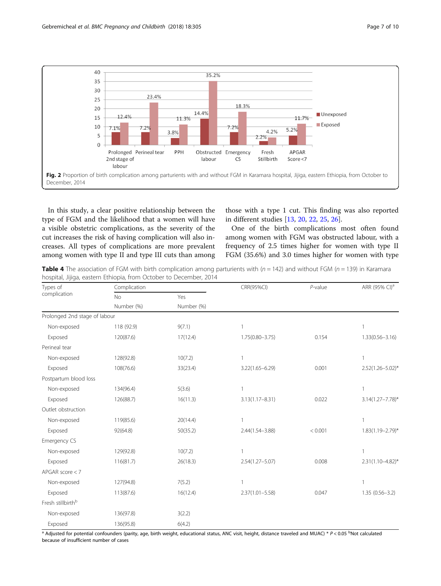<span id="page-6-0"></span>

In this study, a clear positive relationship between the type of FGM and the likelihood that a women will have a visible obstetric complications, as the severity of the cut increases the risk of having complication will also increases. All types of complications are more prevalent among women with type II and type III cuts than among

those with a type 1 cut. This finding was also reported in different studies [[13](#page-9-0), [20](#page-9-0), [22](#page-9-0), [25](#page-9-0), [26](#page-9-0)].

One of the birth complications most often found among women with FGM was obstructed labour, with a frequency of 2.5 times higher for women with type II FGM (35.6%) and 3.0 times higher for women with type

**Table 4** The association of FGM with birth complication among parturients with ( $n = 142$ ) and without FGM ( $n = 139$ ) in Karamara hospital, Jijiga, eastern Ethiopia, from October to December, 2014

| Types of<br>complication      | Complication |            | CRR(95%CI)          | $P$ -value | ARR (95% CI) <sup>a</sup> |
|-------------------------------|--------------|------------|---------------------|------------|---------------------------|
|                               | No           | Yes        |                     |            |                           |
|                               | Number (%)   | Number (%) |                     |            |                           |
| Prolonged 2nd stage of labour |              |            |                     |            |                           |
| Non-exposed                   | 118 (92.9)   | 9(7.1)     | 1                   |            |                           |
| Exposed                       | 120(87.6)    | 17(12.4)   | $1.75(0.80 - 3.75)$ | 0.154      | $1.33(0.56 - 3.16)$       |
| Perineal tear                 |              |            |                     |            |                           |
| Non-exposed                   | 128(92.8)    | 10(7.2)    | 1                   |            |                           |
| Exposed                       | 108(76.6)    | 33(23.4)   | $3.22(1.65 - 6.29)$ | 0.001      | $2.52(1.26 - 5.02)^*$     |
| Postpartum blood loss         |              |            |                     |            |                           |
| Non-exposed                   | 134(96.4)    | 5(3.6)     | 1                   |            | 1                         |
| Exposed                       | 126(88.7)    | 16(11.3)   | $3.13(1.17 - 8.31)$ | 0.022      | $3.14(1.27 - 7.78)^*$     |
| Outlet obstruction            |              |            |                     |            |                           |
| Non-exposed                   | 119(85.6)    | 20(14.4)   | $\mathbf{1}$        |            |                           |
| Exposed                       | 92(64.8)     | 50(35.2)   | 2.44(1.54-3.88)     | < 0.001    | $1.83(1.19 - 2.79)^*$     |
| Emergency CS                  |              |            |                     |            |                           |
| Non-exposed                   | 129(92.8)    | 10(7.2)    | 1                   |            |                           |
| Exposed                       | 116(81.7)    | 26(18.3)   | $2.54(1.27 - 5.07)$ | 0.008      | $2.31(1.10 - 4.82)^*$     |
| APGAR score < 7               |              |            |                     |            |                           |
| Non-exposed                   | 127(94.8)    | 7(5.2)     | 1                   |            | $\mathbf{1}$              |
| Exposed                       | 113(87.6)    | 16(12.4)   | $2.37(1.01 - 5.58)$ | 0.047      | $1.35(0.56 - 3.2)$        |
| Fresh stillbirth <sup>b</sup> |              |            |                     |            |                           |
| Non-exposed                   | 136(97.8)    | 3(2.2)     |                     |            |                           |
| Exposed                       | 136(95.8)    | 6(4.2)     |                     |            |                           |

<sup>a</sup> Adjusted for potential confounders (parity, age, birth weight, educational status, ANC visit, height, distance traveled and MUAC) \* P < 0.05 <sup>b</sup>Not calculated because of insufficient number of cases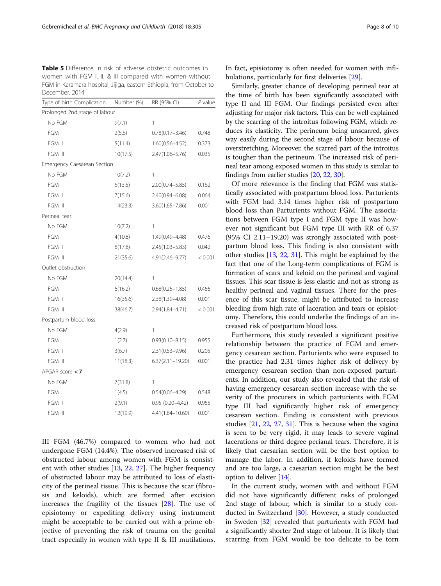<span id="page-7-0"></span>Table 5 Difference in risk of adverse obstetric outcomes in women with FGM I, II, & III compared with women without FGM in Karamara hospital, Jijiga, eastern Ethiopia, from October to December, 2014

| Type of birth Complication         | Number (%) | RR (95% CI)          | $P$ value |
|------------------------------------|------------|----------------------|-----------|
| Prolonged 2nd stage of labour      |            |                      |           |
| No FGM                             | 9(7.1)     | 1                    |           |
| FGM I                              | 2(5.6)     | $0.78(0.17 - 3.46)$  | 0.748     |
| FGM II                             | 5(11.4)    | $1.60(0.56 - 4.52)$  | 0.373     |
| FGM III                            | 10(17.5)   | $2.47(1.06 - 5.76)$  | 0.035     |
| <b>Emergency Caesarean Section</b> |            |                      |           |
| No FGM                             | 10(7.2)    | 1                    |           |
| FGM I                              | 5(13.5)    | $2.00(0.74 - 5.85)$  | 0.162     |
| FGM II                             | 7(15.6)    | $2.40(0.94 - 6.08)$  | 0.064     |
| FGM III                            | 14(23.3)   | $3.60(1.65 - 7.86)$  | 0.001     |
| Perineal tear                      |            |                      |           |
| No FGM                             | 10(7.2)    | 1                    |           |
| FGM I                              | 4(10.8)    | 1.49(0.49-4.48)      | 0.476     |
| FGM II                             | 8(17.8)    | $2.45(1.03 - 5.83)$  | 0.042     |
| FGM III                            | 21(35.6)   | 4.91(2.46-9.77)      | < 0.001   |
| Outlet obstruction                 |            |                      |           |
| No FGM                             | 20(14.4)   | 1                    |           |
| FGM I                              | 6(16.2)    | $0.68(0.25 - 1.85)$  | 0.456     |
| FGM II                             | 16(35.6)   | 2.38(1.39–4.08)      | 0.001     |
| FGM III                            | 38(46.7)   | 2.94(1.84-4.71)      | < 0.001   |
| Postpartum blood loss              |            |                      |           |
| No FGM                             | 4(2.9)     | 1                    |           |
| FGM I                              | 1(2.7)     | $0.93(0.10 - 8.15)$  | 0.955     |
| FGM II                             | 3(6.7)     | $2.31(0.53 - 9.96)$  | 0.205     |
| FGM III                            | 11(18.3)   | $6.37(2.11 - 19.20)$ | 0.001     |
| APGAR score <7                     |            |                      |           |
| No FGM                             | 7(31.8)    | 1                    |           |
| FGM I                              | 1(4.5)     | $0.54(0.06 - 4.29)$  | 0.548     |
| FGM II                             | 2(9.1)     | $0.95(0.20 - 4.42)$  | 0.955     |
| FGM III                            | 12(19.9)   | 4.41(1.84-10.60)     | 0.001     |

III FGM (46.7%) compared to women who had not undergone FGM (14.4%). The observed increased risk of obstructed labour among women with FGM is consistent with other studies [\[13](#page-9-0), [22](#page-9-0), [27](#page-9-0)]. The higher frequency of obstructed labour may be attributed to loss of elasticity of the perineal tissue. This is because the scar (fibrosis and keloids), which are formed after excision increases the fragility of the tissues [\[28](#page-9-0)]. The use of episiotomy or expediting delivery using instrument might be acceptable to be carried out with a prime objective of preventing the risk of trauma on the genital tract especially in women with type II & III mutilations.

In fact, episiotomy is often needed for women with infibulations, particularly for first deliveries [\[29](#page-9-0)].

Similarly, greater chance of developing perineal tear at the time of birth has been significantly associated with type II and III FGM. Our findings persisted even after adjusting for major risk factors. This can be well explained by the scarring of the introitus following FGM, which reduces its elasticity. The perineum being unscarred, gives way easily during the second stage of labour because of overstretching. Moreover, the scarred part of the introitus is tougher than the perineum. The increased risk of perineal tear among exposed women in this study is similar to findings from earlier studies [\[20,](#page-9-0) [22](#page-9-0), [30\]](#page-9-0).

Of more relevance is the finding that FGM was statistically associated with postpartum blood loss. Parturients with FGM had 3.14 times higher risk of postpartum blood loss than Parturients without FGM. The associations between FGM type I and FGM type II was however not significant but FGM type III with RR of 6.37 (95% CI 2.11–19.20) was strongly associated with postpartum blood loss. This finding is also consistent with other studies [\[13,](#page-9-0) [22,](#page-9-0) [31\]](#page-9-0). This might be explained by the fact that one of the Long-term complications of FGM is formation of scars and keloid on the perineal and vaginal tissues. This scar tissue is less elastic and not as strong as healthy perineal and vaginal tissues. There for the presence of this scar tissue, might be attributed to increase bleeding from high rate of laceration and tears or episiotomy. Therefore, this could underlie the findings of an increased risk of postpartum blood loss.

Furthermore, this study revealed a significant positive relationship between the practice of FGM and emergency cesarean section. Parturients who were exposed to the practice had 2.31 times higher risk of delivery by emergency cesarean section than non-exposed parturients. In addition, our study also revealed that the risk of having emergency cesarean section increase with the severity of the procurers in which parturients with FGM type III had significantly higher risk of emergency cesarean section. Finding is consistent with previous studies [[21](#page-9-0), [22,](#page-9-0) [27](#page-9-0), [31](#page-9-0)]. This is because when the vagina is seen to be very rigid, it may leads to severe vaginal lacerations or third degree perianal tears. Therefore, it is likely that caesarian section will be the best option to manage the labor. In addition, if keloids have formed and are too large, a caesarian section might be the best option to deliver [[14\]](#page-9-0).

In the current study, women with and without FGM did not have significantly different risks of prolonged 2nd stage of labour, which is similar to a study conducted in Switzerland [[30\]](#page-9-0). However, a study conducted in Sweden [[32](#page-9-0)] revealed that parturients with FGM had a significantly shorter 2nd stage of labour. It is likely that scarring from FGM would be too delicate to be torn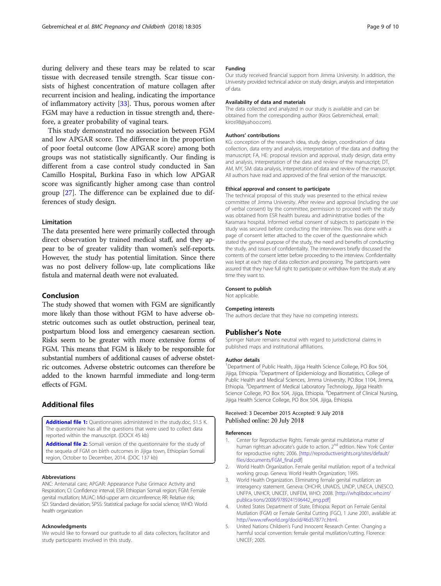<span id="page-8-0"></span>during delivery and these tears may be related to scar tissue with decreased tensile strength. Scar tissue consists of highest concentration of mature collagen after recurrent incision and healing, indicating the importance of inflammatory activity [\[33\]](#page-9-0). Thus, porous women after FGM may have a reduction in tissue strength and, therefore, a greater probability of vaginal tears.

This study demonstrated no association between FGM and low APGAR score. The difference in the proportion of poor foetal outcome (low APGAR score) among both groups was not statistically significantly. Our finding is different from a case control study conducted in San Camillo Hospital, Burkina Faso in which low APGAR score was significantly higher among case than control group [[27\]](#page-9-0). The difference can be explained due to differences of study design.

#### Limitation

The data presented here were primarily collected through direct observation by trained medical staff, and they appear to be of greater validity than women's self-reports. However, the study has potential limitation. Since there was no post delivery follow-up, late complications like fistula and maternal death were not evaluated.

#### Conclusion

The study showed that women with FGM are significantly more likely than those without FGM to have adverse obstetric outcomes such as outlet obstruction, perineal tear, postpartum blood loss and emergency caesarean section. Risks seem to be greater with more extensive forms of FGM. This means that FGM is likely to be responsible for substantial numbers of additional causes of adverse obstetric outcomes. Adverse obstetric outcomes can therefore be added to the known harmful immediate and long-term effects of FGM.

### Additional files

[Additional file 1:](https://doi.org/10.1186/s12884-018-1937-4) Questionnaires administered in the study.doc, 51.5 K. The questionnaire has all the questions that were used to collect data reported within the manuscript. (DOCX 45 kb)

[Additional file 2:](https://doi.org/10.1186/s12884-018-1937-4) Somali version of the questionnaire for the study of the sequela of FGM on birth outcomes in Jijiga town, Ethiopian Somali region, October to December, 2014. (DOC 137 kb)

#### Abbreviations

ANC: Antenatal care; APGAR: Appearance Pulse Grimace Activity and Respiration; CI: Confidence interval; ESR: Ethiopian Somali region; FGM: Female genital mutilation; MUAC: Mid-upper arm circumference; RR: Relative risk; SD: Standard deviation; SPSS: Statistical package for social science; WHO: World health organization

#### Acknowledgments

We would like to forward our gratitude to all data collectors, facilitator and study participants involved in this study.

#### Funding

Our study received financial support from Jimma University. In addition, the University provided technical advice on study design, analysis and interpretation of data.

#### Availability of data and materials

The data collected and analyzed in our study is available and can be obtained from the corresponding author (Kiros Gebremicheal, email: kiros98@yahoo.com).

#### Authors' contributions

KG: conception of the research idea, study design, coordination of data collection, data entry and analysis, interpretation of the data and drafting the manuscript; FA, HE: proposal revision and approval, study design, data entry and analysis, interpretation of the data and review of the manuscript; DT, AM, MY, SM: data analysis, interpretation of data and review of the manuscript. All authors have read and approved of the final version of the manuscript.

#### Ethical approval and consent to participate

The technical proposal of this study was presented to the ethical review committee of Jimma University. After review and approval (including the use of verbal consent) by the committee, permission to proceed with the study was obtained from ESR health bureau and administrative bodies of the Karamara hospital. Informed verbal consent of subjects to participate in the study was secured before conducting the interview. This was done with a page of consent letter attached to the cover of the questionnaire which stated the general purpose of the study, the need and benefits of conducting the study, and issues of confidentiality. The interviewers briefly discussed the contents of the consent letter before proceeding to the interview. Confidentiality was kept at each step of data collection and processing. The participants were assured that they have full right to participate or withdraw from the study at any time they want to.

#### Consent to publish

Not applicable.

#### Competing interests

The authors declare that they have no competing interests.

#### Publisher's Note

Springer Nature remains neutral with regard to jurisdictional claims in published maps and institutional affiliations.

#### Author details

<sup>1</sup>Department of Public Health, Jijiga Health Science College, PO Box 504 Jijiga, Ethiopia. <sup>2</sup>Department of Epidemiology and Biostatistics, College of Public Health and Medical Sciences, Jimma University, PO.Box 1104, Jimma, Ethiopia. <sup>3</sup> Department of Medical Laboratory Technology, Jijiga Health Science College, PO Box 504, Jijiga, Ethiopia. <sup>4</sup>Department of Clinical Nursing, Jijiga Health Science College, PO Box 504, Jijiga, Ethiopia.

#### Received: 3 December 2015 Accepted: 9 July 2018 Published online: 20 July 2018

#### References

- 1. Center for Reproductive Rights. Female genital multilation,a matter of human rights:an advocate's guide to action. 2<sup>nd</sup> edition. New York: Center for reproductive rights; 2006. [[http://reproductiverights.org/sites/default/](http://reproductiverights.org/sites/default/files/documents/FGM_final.pdf) [files/documents/FGM\\_final.pdf\]](http://reproductiverights.org/sites/default/files/documents/FGM_final.pdf)
- 2. World Health Organization. Female genital mutilation: report of a technical working group. Geneva: World Health Organization; 1995.
- 3. World Health Organization. Eliminating female genital mutilation: an interagency statement. Geneva: OHCHR, UNAIDS, UNDP, UNECA, UNESCO, UNFPA, UNHCR, UNICEF, UNIFEM, WHO; 2008. [[http://whqlibdoc.who.int/](http://whqlibdoc.who.int/publica-tions/2008/9789241596442_eng.pdf) [publica-tions/2008/9789241596442\\_eng.pdf\]](http://whqlibdoc.who.int/publica-tions/2008/9789241596442_eng.pdf)
- 4. United States Department of State, Ethiopia: Report on Female Genital Mutilation (FGM) or Female Genital Cutting (FGC), 1 June 2001, available at: <http://www.refworld.org/docid/46d57877c.html>.
- 5. United Nations Children's Fund Innocent Research Center. Changing a harmful social convention: female genital mutilation/cutting. Florence: UNICEF; 2005.